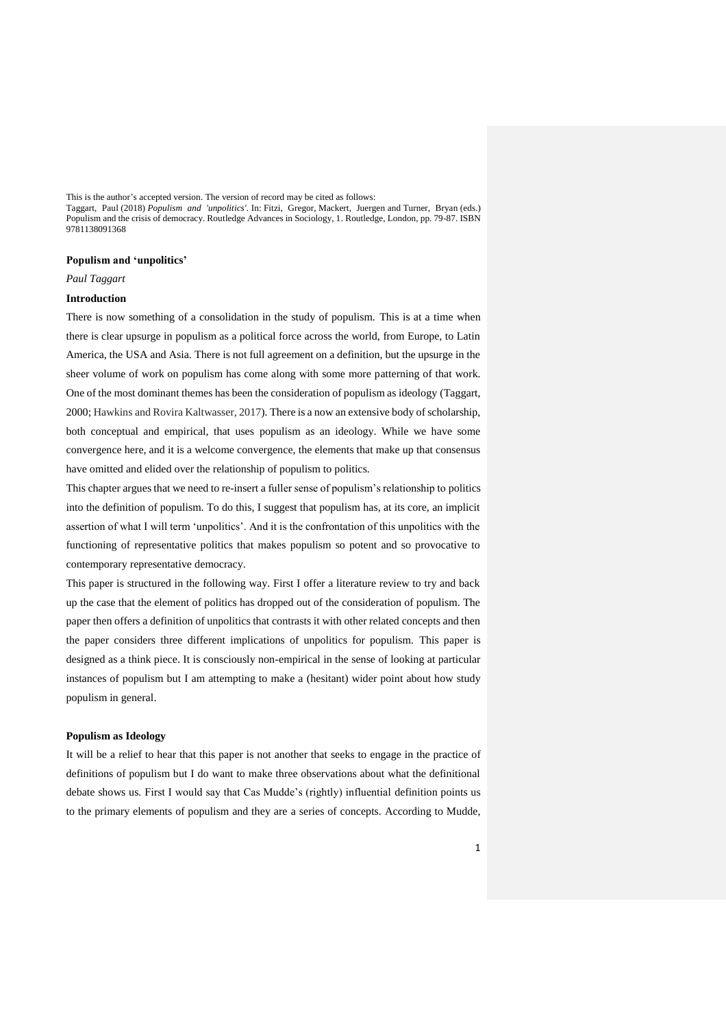This is the author's accepted version. The version of record may be cited as follows: Taggart, Paul (2018) *Populism and 'unpolitics'.* In: Fitzi, Gregor, Mackert, Juergen and Turner, Bryan (eds.) Populism and the crisis of democracy. Routledge Advances in Sociology, 1. Routledge, London, pp. 79-87. ISBN 9781138091368

### **Populism and 'unpolitics'**

*Paul Taggart*

## **Introduction**

There is now something of a consolidation in the study of populism. This is at a time when there is clear upsurge in populism as a political force across the world, from Europe, to Latin America, the USA and Asia. There is not full agreement on a definition, but the upsurge in the sheer volume of work on populism has come along with some more patterning of that work. One of the most dominant themes has been the consideration of populism as ideology (Taggart, 2000; Hawkins and Rovira Kaltwasser, 2017). There is a now an extensive body of scholarship, both conceptual and empirical, that uses populism as an ideology. While we have some convergence here, and it is a welcome convergence, the elements that make up that consensus have omitted and elided over the relationship of populism to politics.

This chapter argues that we need to re-insert a fuller sense of populism's relationship to politics into the definition of populism. To do this, I suggest that populism has, at its core, an implicit assertion of what I will term 'unpolitics'. And it is the confrontation of this unpolitics with the functioning of representative politics that makes populism so potent and so provocative to contemporary representative democracy.

This paper is structured in the following way. First I offer a literature review to try and back up the case that the element of politics has dropped out of the consideration of populism. The paper then offers a definition of unpolitics that contrasts it with other related concepts and then the paper considers three different implications of unpolitics for populism. This paper is designed as a think piece. It is consciously non-empirical in the sense of looking at particular instances of populism but I am attempting to make a (hesitant) wider point about how study populism in general.

#### **Populism as Ideology**

It will be a relief to hear that this paper is not another that seeks to engage in the practice of definitions of populism but I do want to make three observations about what the definitional debate shows us. First I would say that Cas Mudde's (rightly) influential definition points us to the primary elements of populism and they are a series of concepts. According to Mudde,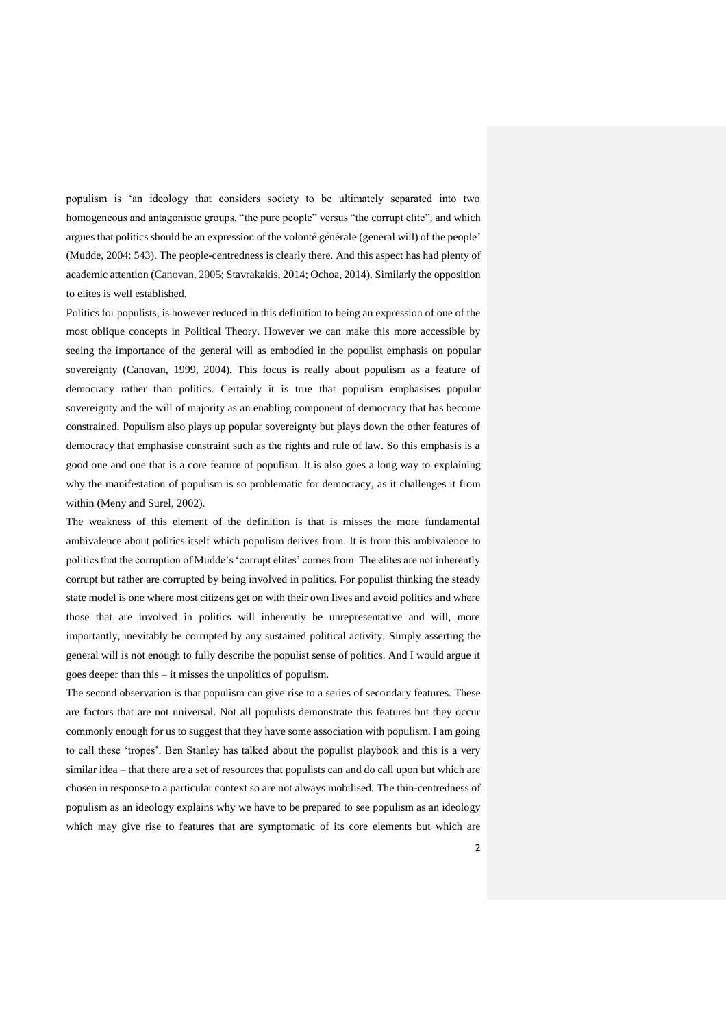populism is 'an ideology that considers society to be ultimately separated into two homogeneous and antagonistic groups, "the pure people" versus "the corrupt elite", and which argues that politics should be an expression of the volonté générale (general will) of the people' (Mudde, 2004: 543). The people-centredness is clearly there. And this aspect has had plenty of academic attention (Canovan, 2005; Stavrakakis, 2014; Ochoa, 2014). Similarly the opposition to elites is well established.

Politics for populists, is however reduced in this definition to being an expression of one of the most oblique concepts in Political Theory. However we can make this more accessible by seeing the importance of the general will as embodied in the populist emphasis on popular sovereignty (Canovan, 1999, 2004). This focus is really about populism as a feature of democracy rather than politics. Certainly it is true that populism emphasises popular sovereignty and the will of majority as an enabling component of democracy that has become constrained. Populism also plays up popular sovereignty but plays down the other features of democracy that emphasise constraint such as the rights and rule of law. So this emphasis is a good one and one that is a core feature of populism. It is also goes a long way to explaining why the manifestation of populism is so problematic for democracy, as it challenges it from within (Meny and Surel, 2002).

The weakness of this element of the definition is that is misses the more fundamental ambivalence about politics itself which populism derives from. It is from this ambivalence to politics that the corruption of Mudde's 'corrupt elites' comes from. The elites are not inherently corrupt but rather are corrupted by being involved in politics. For populist thinking the steady state model is one where most citizens get on with their own lives and avoid politics and where those that are involved in politics will inherently be unrepresentative and will, more importantly, inevitably be corrupted by any sustained political activity. Simply asserting the general will is not enough to fully describe the populist sense of politics. And I would argue it goes deeper than this – it misses the unpolitics of populism.

The second observation is that populism can give rise to a series of secondary features. These are factors that are not universal. Not all populists demonstrate this features but they occur commonly enough for us to suggest that they have some association with populism. I am going to call these 'tropes'. Ben Stanley has talked about the populist playbook and this is a very similar idea – that there are a set of resources that populists can and do call upon but which are chosen in response to a particular context so are not always mobilised. The thin-centredness of populism as an ideology explains why we have to be prepared to see populism as an ideology which may give rise to features that are symptomatic of its core elements but which are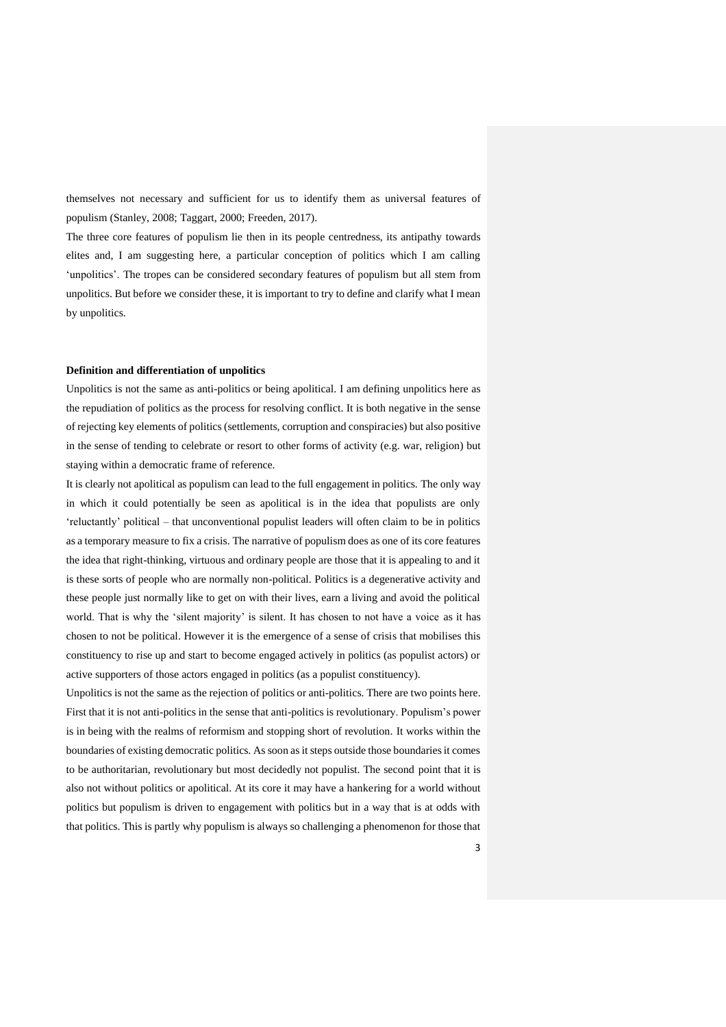themselves not necessary and sufficient for us to identify them as universal features of populism (Stanley, 2008; Taggart, 2000; Freeden, 2017).

The three core features of populism lie then in its people centredness, its antipathy towards elites and, I am suggesting here, a particular conception of politics which I am calling 'unpolitics'. The tropes can be considered secondary features of populism but all stem from unpolitics. But before we consider these, it is important to try to define and clarify what I mean by unpolitics.

# **Definition and differentiation of unpolitics**

Unpolitics is not the same as anti-politics or being apolitical. I am defining unpolitics here as the repudiation of politics as the process for resolving conflict. It is both negative in the sense of rejecting key elements of politics (settlements, corruption and conspiracies) but also positive in the sense of tending to celebrate or resort to other forms of activity (e.g. war, religion) but staying within a democratic frame of reference.

It is clearly not apolitical as populism can lead to the full engagement in politics. The only way in which it could potentially be seen as apolitical is in the idea that populists are only 'reluctantly' political – that unconventional populist leaders will often claim to be in politics as a temporary measure to fix a crisis. The narrative of populism does as one of its core features the idea that right-thinking, virtuous and ordinary people are those that it is appealing to and it is these sorts of people who are normally non-political. Politics is a degenerative activity and these people just normally like to get on with their lives, earn a living and avoid the political world. That is why the 'silent majority' is silent. It has chosen to not have a voice as it has chosen to not be political. However it is the emergence of a sense of crisis that mobilises this constituency to rise up and start to become engaged actively in politics (as populist actors) or active supporters of those actors engaged in politics (as a populist constituency).

Unpolitics is not the same as the rejection of politics or anti-politics. There are two points here. First that it is not anti-politics in the sense that anti-politics is revolutionary. Populism's power is in being with the realms of reformism and stopping short of revolution. It works within the boundaries of existing democratic politics. As soon as it steps outside those boundaries it comes to be authoritarian, revolutionary but most decidedly not populist. The second point that it is also not without politics or apolitical. At its core it may have a hankering for a world without politics but populism is driven to engagement with politics but in a way that is at odds with that politics. This is partly why populism is always so challenging a phenomenon for those that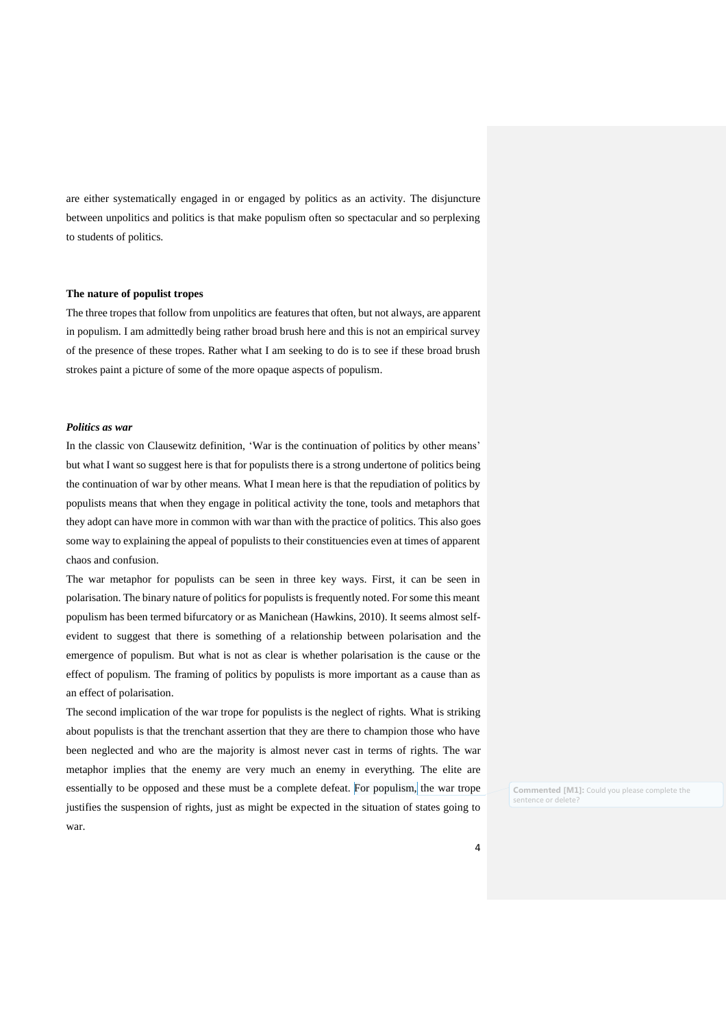are either systematically engaged in or engaged by politics as an activity. The disjuncture between unpolitics and politics is that make populism often so spectacular and so perplexing to students of politics.

## **The nature of populist tropes**

The three tropes that follow from unpolitics are features that often, but not always, are apparent in populism. I am admittedly being rather broad brush here and this is not an empirical survey of the presence of these tropes. Rather what I am seeking to do is to see if these broad brush strokes paint a picture of some of the more opaque aspects of populism.

#### *Politics as war*

In the classic von Clausewitz definition, 'War is the continuation of politics by other means' but what I want so suggest here is that for populists there is a strong undertone of politics being the continuation of war by other means. What I mean here is that the repudiation of politics by populists means that when they engage in political activity the tone, tools and metaphors that they adopt can have more in common with war than with the practice of politics. This also goes some way to explaining the appeal of populists to their constituencies even at times of apparent chaos and confusion.

The war metaphor for populists can be seen in three key ways. First, it can be seen in polarisation. The binary nature of politics for populists is frequently noted. For some this meant populism has been termed bifurcatory or as Manichean (Hawkins, 2010). It seems almost selfevident to suggest that there is something of a relationship between polarisation and the emergence of populism. But what is not as clear is whether polarisation is the cause or the effect of populism. The framing of politics by populists is more important as a cause than as an effect of polarisation.

The second implication of the war trope for populists is the neglect of rights. What is striking about populists is that the trenchant assertion that they are there to champion those who have been neglected and who are the majority is almost never cast in terms of rights. The war metaphor implies that the enemy are very much an enemy in everything. The elite are essentially to be opposed and these must be a complete defeat. For populism, the war trope justifies the suspension of rights, just as might be expected in the situation of states going to war.

**Commented [M1]:** Could you please complete the sentence or delete<sup>?</sup>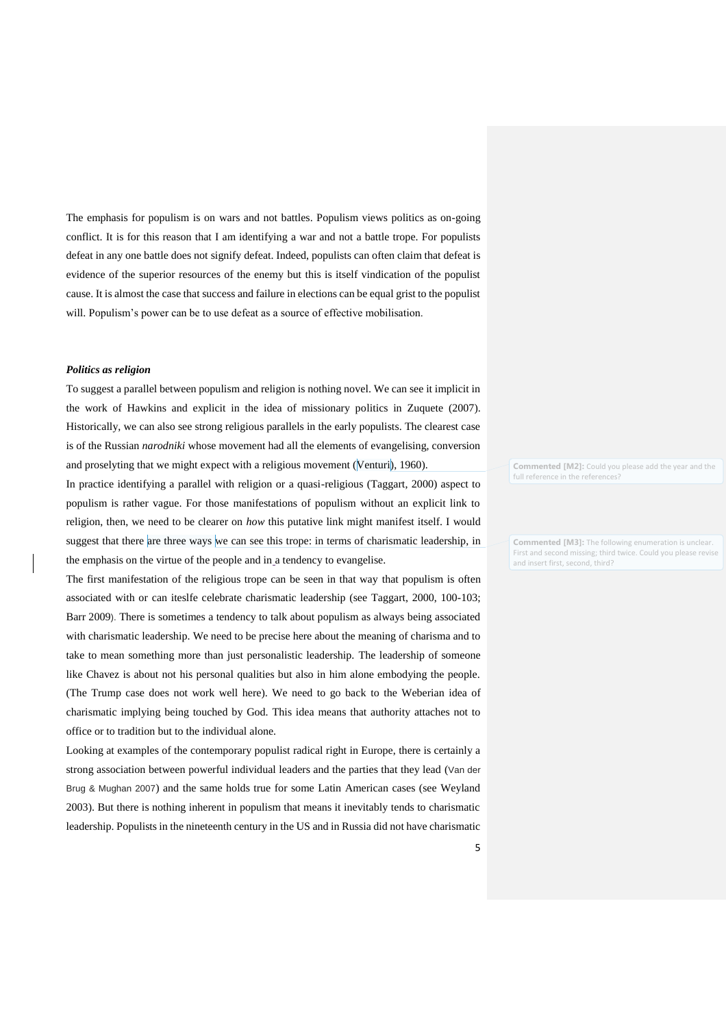The emphasis for populism is on wars and not battles. Populism views politics as on-going conflict. It is for this reason that I am identifying a war and not a battle trope. For populists defeat in any one battle does not signify defeat. Indeed, populists can often claim that defeat is evidence of the superior resources of the enemy but this is itself vindication of the populist cause. It is almost the case that success and failure in elections can be equal grist to the populist will. Populism's power can be to use defeat as a source of effective mobilisation.

## *Politics as religion*

To suggest a parallel between populism and religion is nothing novel. We can see it implicit in the work of Hawkins and explicit in the idea of missionary politics in Zuquete (2007). Historically, we can also see strong religious parallels in the early populists. The clearest case is of the Russian *narodniki* whose movement had all the elements of evangelising, conversion and proselyting that we might expect with a religious movement (Venturi), 1960).

In practice identifying a parallel with religion or a quasi-religious (Taggart, 2000) aspect to populism is rather vague. For those manifestations of populism without an explicit link to religion, then, we need to be clearer on *how* this putative link might manifest itself. I would suggest that there are three ways we can see this trope: in terms of charismatic leadership, in the emphasis on the virtue of the people and in a tendency to evangelise.

The first manifestation of the religious trope can be seen in that way that populism is often associated with or can iteslfe celebrate charismatic leadership (see Taggart, 2000, 100-103; Barr 2009). There is sometimes a tendency to talk about populism as always being associated with charismatic leadership. We need to be precise here about the meaning of charisma and to take to mean something more than just personalistic leadership. The leadership of someone like Chavez is about not his personal qualities but also in him alone embodying the people. (The Trump case does not work well here). We need to go back to the Weberian idea of charismatic implying being touched by God. This idea means that authority attaches not to office or to tradition but to the individual alone.

Looking at examples of the contemporary populist radical right in Europe, there is certainly a strong association between powerful individual leaders and the parties that they lead (Van der Brug & Mughan 2007) and the same holds true for some Latin American cases (see Weyland 2003). But there is nothing inherent in populism that means it inevitably tends to charismatic leadership. Populists in the nineteenth century in the US and in Russia did not have charismatic

**Commented [M2]:** Could you please add the year and the full reference in the references?

**Commented [M3]:** The following enumeration is unclear. First and second missing; third twice. Could you please revise and insert first, second, third?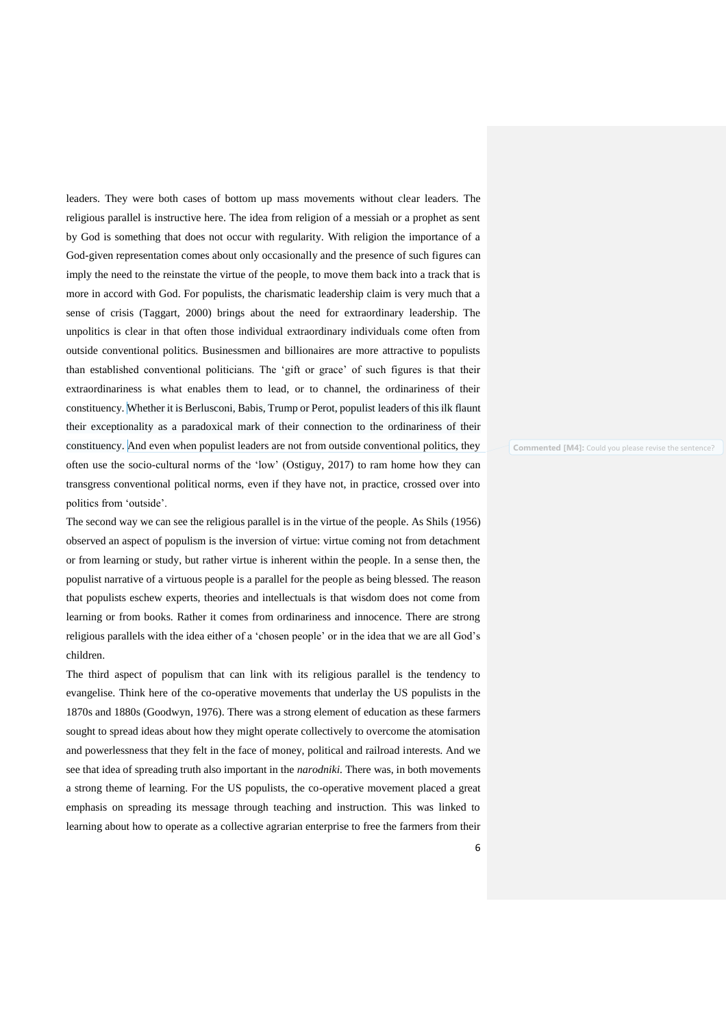leaders. They were both cases of bottom up mass movements without clear leaders. The religious parallel is instructive here. The idea from religion of a messiah or a prophet as sent by God is something that does not occur with regularity. With religion the importance of a God-given representation comes about only occasionally and the presence of such figures can imply the need to the reinstate the virtue of the people, to move them back into a track that is more in accord with God. For populists, the charismatic leadership claim is very much that a sense of crisis (Taggart, 2000) brings about the need for extraordinary leadership. The unpolitics is clear in that often those individual extraordinary individuals come often from outside conventional politics. Businessmen and billionaires are more attractive to populists than established conventional politicians. The 'gift or grace' of such figures is that their extraordinariness is what enables them to lead, or to channel, the ordinariness of their constituency. Whether it is Berlusconi, Babis, Trump or Perot, populist leaders of this ilk flaunt their exceptionality as a paradoxical mark of their connection to the ordinariness of their constituency. And even when populist leaders are not from outside conventional politics, they often use the socio-cultural norms of the 'low' (Ostiguy, 2017) to ram home how they can transgress conventional political norms, even if they have not, in practice, crossed over into politics from 'outside'.

The second way we can see the religious parallel is in the virtue of the people. As Shils (1956) observed an aspect of populism is the inversion of virtue: virtue coming not from detachment or from learning or study, but rather virtue is inherent within the people. In a sense then, the populist narrative of a virtuous people is a parallel for the people as being blessed. The reason that populists eschew experts, theories and intellectuals is that wisdom does not come from learning or from books. Rather it comes from ordinariness and innocence. There are strong religious parallels with the idea either of a 'chosen people' or in the idea that we are all God's children.

The third aspect of populism that can link with its religious parallel is the tendency to evangelise. Think here of the co-operative movements that underlay the US populists in the 1870s and 1880s (Goodwyn, 1976). There was a strong element of education as these farmers sought to spread ideas about how they might operate collectively to overcome the atomisation and powerlessness that they felt in the face of money, political and railroad interests. And we see that idea of spreading truth also important in the *narodniki.* There was, in both movements a strong theme of learning. For the US populists, the co-operative movement placed a great emphasis on spreading its message through teaching and instruction. This was linked to learning about how to operate as a collective agrarian enterprise to free the farmers from their

**Commented [M4]:** Could you please revise the sentence?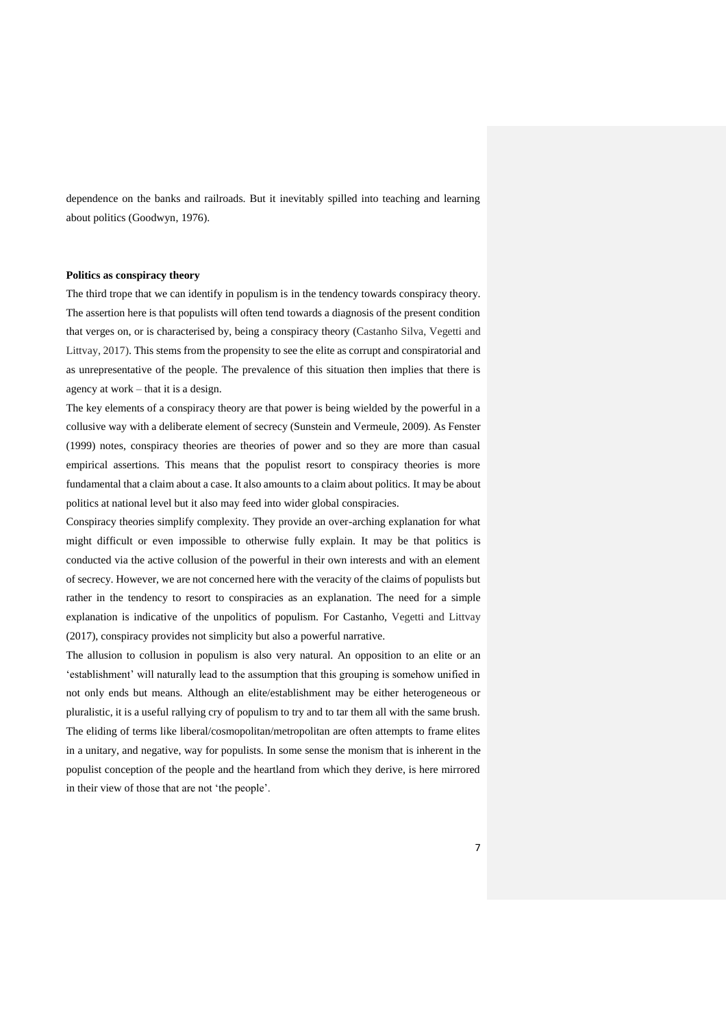dependence on the banks and railroads. But it inevitably spilled into teaching and learning about politics (Goodwyn, 1976).

## **Politics as conspiracy theory**

The third trope that we can identify in populism is in the tendency towards conspiracy theory. The assertion here is that populists will often tend towards a diagnosis of the present condition that verges on, or is characterised by, being a conspiracy theory (Castanho Silva, Vegetti and Littvay, 2017). This stems from the propensity to see the elite as corrupt and conspiratorial and as unrepresentative of the people. The prevalence of this situation then implies that there is agency at work – that it is a design.

The key elements of a conspiracy theory are that power is being wielded by the powerful in a collusive way with a deliberate element of secrecy (Sunstein and Vermeule, 2009). As Fenster (1999) notes, conspiracy theories are theories of power and so they are more than casual empirical assertions. This means that the populist resort to conspiracy theories is more fundamental that a claim about a case. It also amounts to a claim about politics. It may be about politics at national level but it also may feed into wider global conspiracies.

Conspiracy theories simplify complexity. They provide an over-arching explanation for what might difficult or even impossible to otherwise fully explain. It may be that politics is conducted via the active collusion of the powerful in their own interests and with an element of secrecy. However, we are not concerned here with the veracity of the claims of populists but rather in the tendency to resort to conspiracies as an explanation. The need for a simple explanation is indicative of the unpolitics of populism. For Castanho, Vegetti and Littvay (2017), conspiracy provides not simplicity but also a powerful narrative.

The allusion to collusion in populism is also very natural. An opposition to an elite or an 'establishment' will naturally lead to the assumption that this grouping is somehow unified in not only ends but means. Although an elite/establishment may be either heterogeneous or pluralistic, it is a useful rallying cry of populism to try and to tar them all with the same brush. The eliding of terms like liberal/cosmopolitan/metropolitan are often attempts to frame elites in a unitary, and negative, way for populists. In some sense the monism that is inherent in the populist conception of the people and the heartland from which they derive, is here mirrored in their view of those that are not 'the people'.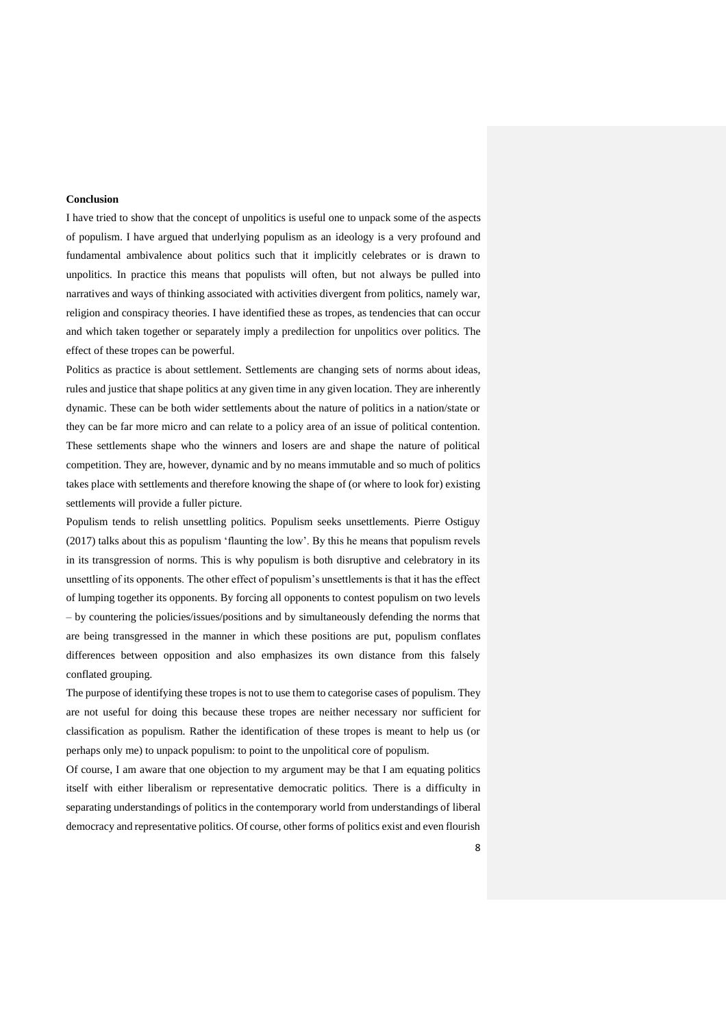### **Conclusion**

I have tried to show that the concept of unpolitics is useful one to unpack some of the aspects of populism. I have argued that underlying populism as an ideology is a very profound and fundamental ambivalence about politics such that it implicitly celebrates or is drawn to unpolitics. In practice this means that populists will often, but not always be pulled into narratives and ways of thinking associated with activities divergent from politics, namely war, religion and conspiracy theories. I have identified these as tropes, as tendencies that can occur and which taken together or separately imply a predilection for unpolitics over politics. The effect of these tropes can be powerful.

Politics as practice is about settlement. Settlements are changing sets of norms about ideas, rules and justice that shape politics at any given time in any given location. They are inherently dynamic. These can be both wider settlements about the nature of politics in a nation/state or they can be far more micro and can relate to a policy area of an issue of political contention. These settlements shape who the winners and losers are and shape the nature of political competition. They are, however, dynamic and by no means immutable and so much of politics takes place with settlements and therefore knowing the shape of (or where to look for) existing settlements will provide a fuller picture.

Populism tends to relish unsettling politics. Populism seeks unsettlements. Pierre Ostiguy (2017) talks about this as populism 'flaunting the low'. By this he means that populism revels in its transgression of norms. This is why populism is both disruptive and celebratory in its unsettling of its opponents. The other effect of populism's unsettlements is that it has the effect of lumping together its opponents. By forcing all opponents to contest populism on two levels – by countering the policies/issues/positions and by simultaneously defending the norms that are being transgressed in the manner in which these positions are put, populism conflates differences between opposition and also emphasizes its own distance from this falsely conflated grouping.

The purpose of identifying these tropes is not to use them to categorise cases of populism. They are not useful for doing this because these tropes are neither necessary nor sufficient for classification as populism. Rather the identification of these tropes is meant to help us (or perhaps only me) to unpack populism: to point to the unpolitical core of populism.

Of course, I am aware that one objection to my argument may be that I am equating politics itself with either liberalism or representative democratic politics. There is a difficulty in separating understandings of politics in the contemporary world from understandings of liberal democracy and representative politics. Of course, other forms of politics exist and even flourish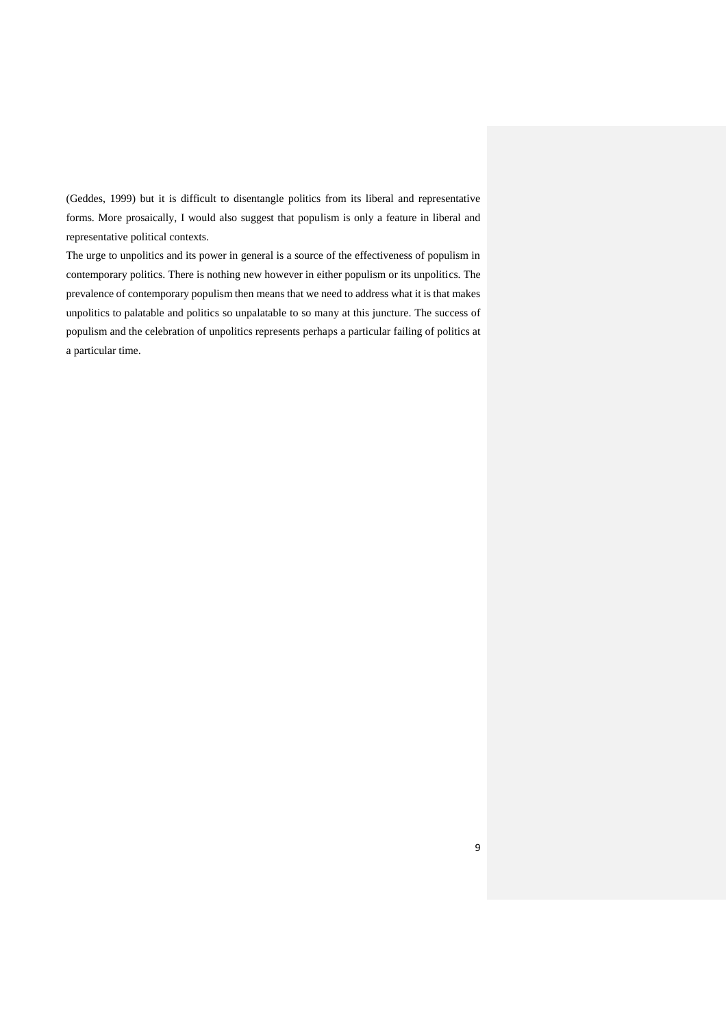(Geddes, 1999) but it is difficult to disentangle politics from its liberal and representative forms. More prosaically, I would also suggest that populism is only a feature in liberal and representative political contexts.

The urge to unpolitics and its power in general is a source of the effectiveness of populism in contemporary politics. There is nothing new however in either populism or its unpolitics. The prevalence of contemporary populism then means that we need to address what it is that makes unpolitics to palatable and politics so unpalatable to so many at this juncture. The success of populism and the celebration of unpolitics represents perhaps a particular failing of politics at a particular time.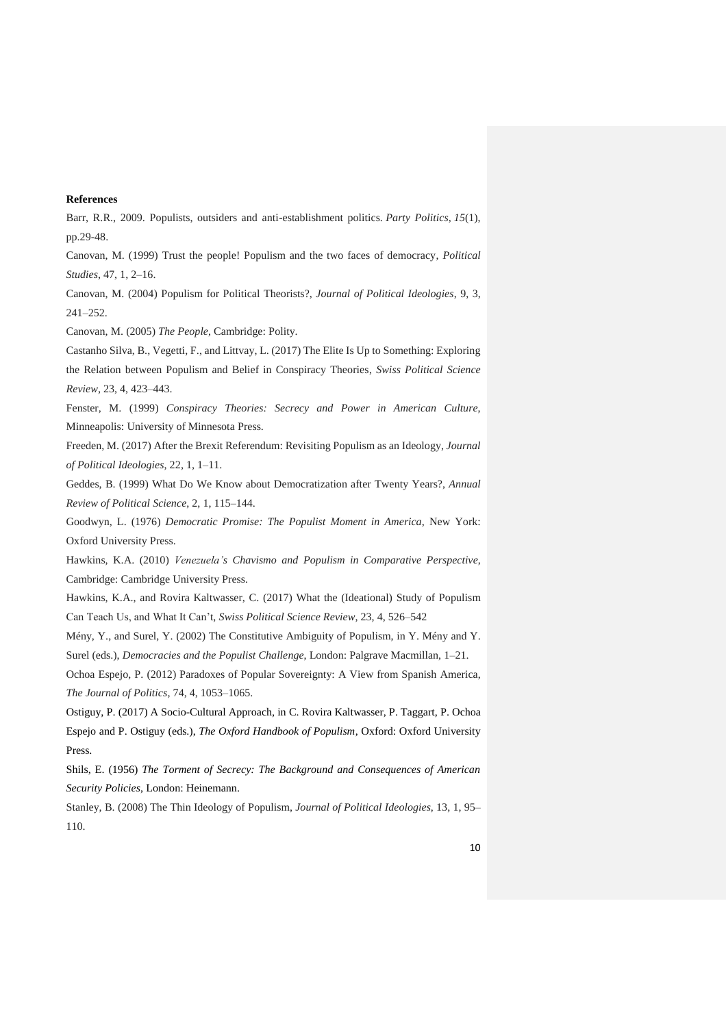## **References**

Barr, R.R., 2009. Populists, outsiders and anti-establishment politics. *Party Politics*, *15*(1), pp.29-48.

Canovan, M. (1999) Trust the people! Populism and the two faces of democracy, *Political Studies*, 47, 1, 2–16.

Canovan, M. (2004) Populism for Political Theorists?, *Journal of Political Ideologies*, 9, 3, 241–252.

Canovan, M. (2005) *The People*, Cambridge: Polity.

Castanho Silva, B., Vegetti, F., and Littvay, L. (2017) The Elite Is Up to Something: Exploring the Relation between Populism and Belief in Conspiracy Theories, *Swiss Political Science Review*, 23, 4, 423–443.

Fenster, M. (1999) *Conspiracy Theories: Secrecy and Power in American Culture*, Minneapolis: University of Minnesota Press.

Freeden, M. (2017) After the Brexit Referendum: Revisiting Populism as an Ideology, *Journal of Political Ideologies*, 22, 1, 1–11.

Geddes, B. (1999) What Do We Know about Democratization after Twenty Years?, *Annual Review of Political Science*, 2, 1, 115–144.

Goodwyn, L. (1976) *Democratic Promise: The Populist Moment in America*, New York: Oxford University Press.

Hawkins, K.A. (2010) *Venezuela's Chavismo and Populism in Comparative Perspective*, Cambridge: Cambridge University Press.

Hawkins, K.A., and Rovira Kaltwasser, C. (2017) What the (Ideational) Study of Populism Can Teach Us, and What It Can't, *Swiss Political Science Review*, 23, 4, 526–542

Mény, Y., and Surel, Y. (2002) The Constitutive Ambiguity of Populism, in Y. Mény and Y. Surel (eds.), *Democracies and the Populist Challenge*, London: Palgrave Macmillan, 1–21.

Ochoa Espejo, P. (2012) Paradoxes of Popular Sovereignty: A View from Spanish America, *The Journal of Politics*, 74, 4, 1053–1065.

Ostiguy, P. (2017) A Socio-Cultural Approach, in C. Rovira Kaltwasser, P. Taggart, P. Ochoa Espejo and P. Ostiguy (eds.), *The Oxford Handbook of Populism*, Oxford: Oxford University Press.

Shils, E. (1956) *The Torment of Secrecy: The Background and Consequences of American Security Policies*, London: Heinemann.

Stanley, B. (2008) The Thin Ideology of Populism, *Journal of Political Ideologies*, 13, 1, 95– 110.